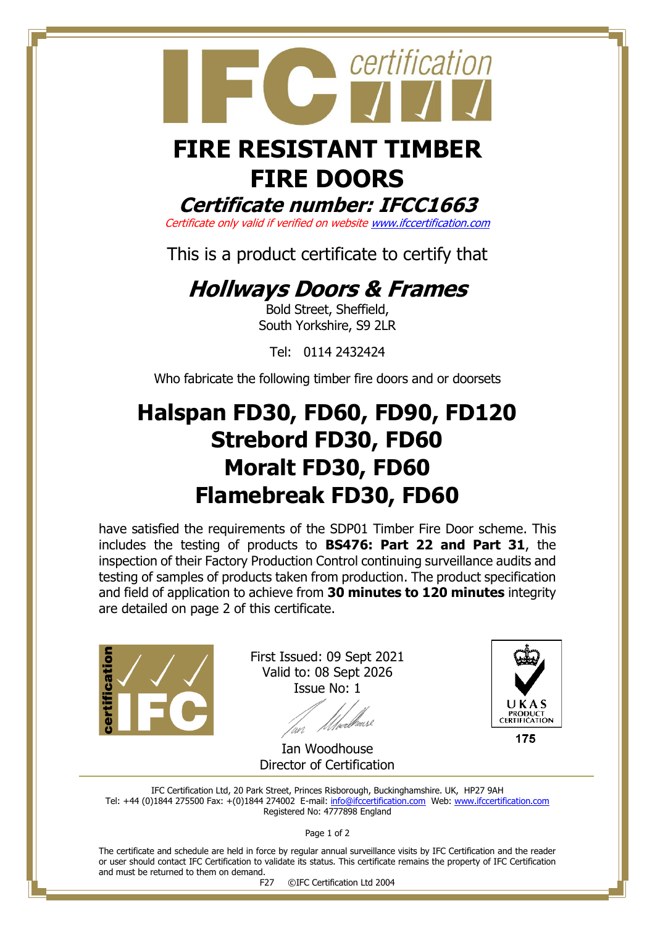

# **FIRE RESISTANT TIMBER FIRE DOORS**

**Certificate number: IFCC1663**

Certificate only valid if verified on websit[e www.ifccertification.com](http://www.ifccertification.com/)

This is a product certificate to certify that

## **Hollways Doors & Frames**

Bold Street, Sheffield, South Yorkshire, S9 2LR

Tel: 0114 2432424

Who fabricate the following timber fire doors and or doorsets

## **Halspan FD30, FD60, FD90, FD120 Strebord FD30, FD60 Moralt FD30, FD60 Flamebreak FD30, FD60**

have satisfied the requirements of the SDP01 Timber Fire Door scheme. This includes the testing of products to **BS476: Part 22 and Part 31**, the inspection of their Factory Production Control continuing surveillance audits and testing of samples of products taken from production. The product specification and field of application to achieve from **30 minutes to 120 minutes** integrity are detailed on page 2 of this certificate.



First Issued: 09 Sept 2021 Valid to: 08 Sept 2026 Issue No: 1

'wd



175

Ian Woodhouse Director of Certification

IFC Certification Ltd, 20 Park Street, Princes Risborough, Buckinghamshire. UK, HP27 9AH Tel: +44 (0)1844 275500 Fax: +(0)1844 274002 E-mail[: info@ifccertification.com](mailto:info@ifccertification.com) Web: [www.ifccertification.com](http://www.ifccertification.com/) Registered No: 4777898 England

Page 1 of 2

The certificate and schedule are held in force by regular annual surveillance visits by IFC Certification and the reader or user should contact IFC Certification to validate its status. This certificate remains the property of IFC Certification and must be returned to them on demand.

F27 ©IFC Certification Ltd 2004